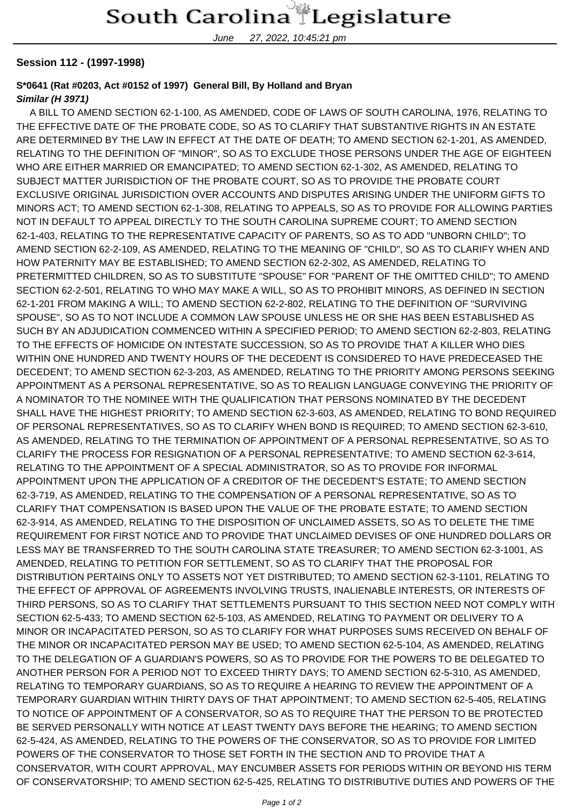June 27, 2022, 10:45:21 pm

## **Session 112 - (1997-1998)**

## **S\*0641 (Rat #0203, Act #0152 of 1997) General Bill, By Holland and Bryan**

## **Similar (H 3971)**

 A BILL TO AMEND SECTION 62-1-100, AS AMENDED, CODE OF LAWS OF SOUTH CAROLINA, 1976, RELATING TO THE EFFECTIVE DATE OF THE PROBATE CODE, SO AS TO CLARIFY THAT SUBSTANTIVE RIGHTS IN AN ESTATE ARE DETERMINED BY THE LAW IN EFFECT AT THE DATE OF DEATH; TO AMEND SECTION 62-1-201, AS AMENDED, RELATING TO THE DEFINITION OF "MINOR", SO AS TO EXCLUDE THOSE PERSONS UNDER THE AGE OF EIGHTEEN WHO ARE EITHER MARRIED OR EMANCIPATED; TO AMEND SECTION 62-1-302, AS AMENDED, RELATING TO SUBJECT MATTER JURISDICTION OF THE PROBATE COURT, SO AS TO PROVIDE THE PROBATE COURT EXCLUSIVE ORIGINAL JURISDICTION OVER ACCOUNTS AND DISPUTES ARISING UNDER THE UNIFORM GIFTS TO MINORS ACT; TO AMEND SECTION 62-1-308, RELATING TO APPEALS, SO AS TO PROVIDE FOR ALLOWING PARTIES NOT IN DEFAULT TO APPEAL DIRECTLY TO THE SOUTH CAROLINA SUPREME COURT; TO AMEND SECTION 62-1-403, RELATING TO THE REPRESENTATIVE CAPACITY OF PARENTS, SO AS TO ADD "UNBORN CHILD"; TO AMEND SECTION 62-2-109, AS AMENDED, RELATING TO THE MEANING OF "CHILD", SO AS TO CLARIFY WHEN AND HOW PATERNITY MAY BE ESTABLISHED; TO AMEND SECTION 62-2-302, AS AMENDED, RELATING TO PRETERMITTED CHILDREN, SO AS TO SUBSTITUTE "SPOUSE" FOR "PARENT OF THE OMITTED CHILD"; TO AMEND SECTION 62-2-501, RELATING TO WHO MAY MAKE A WILL, SO AS TO PROHIBIT MINORS, AS DEFINED IN SECTION 62-1-201 FROM MAKING A WILL; TO AMEND SECTION 62-2-802, RELATING TO THE DEFINITION OF "SURVIVING SPOUSE", SO AS TO NOT INCLUDE A COMMON LAW SPOUSE UNLESS HE OR SHE HAS BEEN ESTABLISHED AS SUCH BY AN ADJUDICATION COMMENCED WITHIN A SPECIFIED PERIOD; TO AMEND SECTION 62-2-803, RELATING TO THE EFFECTS OF HOMICIDE ON INTESTATE SUCCESSION, SO AS TO PROVIDE THAT A KILLER WHO DIES WITHIN ONE HUNDRED AND TWENTY HOURS OF THE DECEDENT IS CONSIDERED TO HAVE PREDECEASED THE DECEDENT; TO AMEND SECTION 62-3-203, AS AMENDED, RELATING TO THE PRIORITY AMONG PERSONS SEEKING APPOINTMENT AS A PERSONAL REPRESENTATIVE, SO AS TO REALIGN LANGUAGE CONVEYING THE PRIORITY OF A NOMINATOR TO THE NOMINEE WITH THE QUALIFICATION THAT PERSONS NOMINATED BY THE DECEDENT SHALL HAVE THE HIGHEST PRIORITY; TO AMEND SECTION 62-3-603, AS AMENDED, RELATING TO BOND REQUIRED OF PERSONAL REPRESENTATIVES, SO AS TO CLARIFY WHEN BOND IS REQUIRED; TO AMEND SECTION 62-3-610, AS AMENDED, RELATING TO THE TERMINATION OF APPOINTMENT OF A PERSONAL REPRESENTATIVE, SO AS TO CLARIFY THE PROCESS FOR RESIGNATION OF A PERSONAL REPRESENTATIVE; TO AMEND SECTION 62-3-614, RELATING TO THE APPOINTMENT OF A SPECIAL ADMINISTRATOR, SO AS TO PROVIDE FOR INFORMAL APPOINTMENT UPON THE APPLICATION OF A CREDITOR OF THE DECEDENT'S ESTATE; TO AMEND SECTION 62-3-719, AS AMENDED, RELATING TO THE COMPENSATION OF A PERSONAL REPRESENTATIVE, SO AS TO CLARIFY THAT COMPENSATION IS BASED UPON THE VALUE OF THE PROBATE ESTATE; TO AMEND SECTION 62-3-914, AS AMENDED, RELATING TO THE DISPOSITION OF UNCLAIMED ASSETS, SO AS TO DELETE THE TIME REQUIREMENT FOR FIRST NOTICE AND TO PROVIDE THAT UNCLAIMED DEVISES OF ONE HUNDRED DOLLARS OR LESS MAY BE TRANSFERRED TO THE SOUTH CAROLINA STATE TREASURER; TO AMEND SECTION 62-3-1001, AS AMENDED, RELATING TO PETITION FOR SETTLEMENT, SO AS TO CLARIFY THAT THE PROPOSAL FOR DISTRIBUTION PERTAINS ONLY TO ASSETS NOT YET DISTRIBUTED; TO AMEND SECTION 62-3-1101, RELATING TO THE EFFECT OF APPROVAL OF AGREEMENTS INVOLVING TRUSTS, INALIENABLE INTERESTS, OR INTERESTS OF THIRD PERSONS, SO AS TO CLARIFY THAT SETTLEMENTS PURSUANT TO THIS SECTION NEED NOT COMPLY WITH SECTION 62-5-433; TO AMEND SECTION 62-5-103, AS AMENDED, RELATING TO PAYMENT OR DELIVERY TO A MINOR OR INCAPACITATED PERSON, SO AS TO CLARIFY FOR WHAT PURPOSES SUMS RECEIVED ON BEHALF OF THE MINOR OR INCAPACITATED PERSON MAY BE USED; TO AMEND SECTION 62-5-104, AS AMENDED, RELATING TO THE DELEGATION OF A GUARDIAN'S POWERS, SO AS TO PROVIDE FOR THE POWERS TO BE DELEGATED TO ANOTHER PERSON FOR A PERIOD NOT TO EXCEED THIRTY DAYS; TO AMEND SECTION 62-5-310, AS AMENDED, RELATING TO TEMPORARY GUARDIANS, SO AS TO REQUIRE A HEARING TO REVIEW THE APPOINTMENT OF A TEMPORARY GUARDIAN WITHIN THIRTY DAYS OF THAT APPOINTMENT; TO AMEND SECTION 62-5-405, RELATING TO NOTICE OF APPOINTMENT OF A CONSERVATOR, SO AS TO REQUIRE THAT THE PERSON TO BE PROTECTED BE SERVED PERSONALLY WITH NOTICE AT LEAST TWENTY DAYS BEFORE THE HEARING; TO AMEND SECTION 62-5-424, AS AMENDED, RELATING TO THE POWERS OF THE CONSERVATOR, SO AS TO PROVIDE FOR LIMITED POWERS OF THE CONSERVATOR TO THOSE SET FORTH IN THE SECTION AND TO PROVIDE THAT A CONSERVATOR, WITH COURT APPROVAL, MAY ENCUMBER ASSETS FOR PERIODS WITHIN OR BEYOND HIS TERM OF CONSERVATORSHIP; TO AMEND SECTION 62-5-425, RELATING TO DISTRIBUTIVE DUTIES AND POWERS OF THE